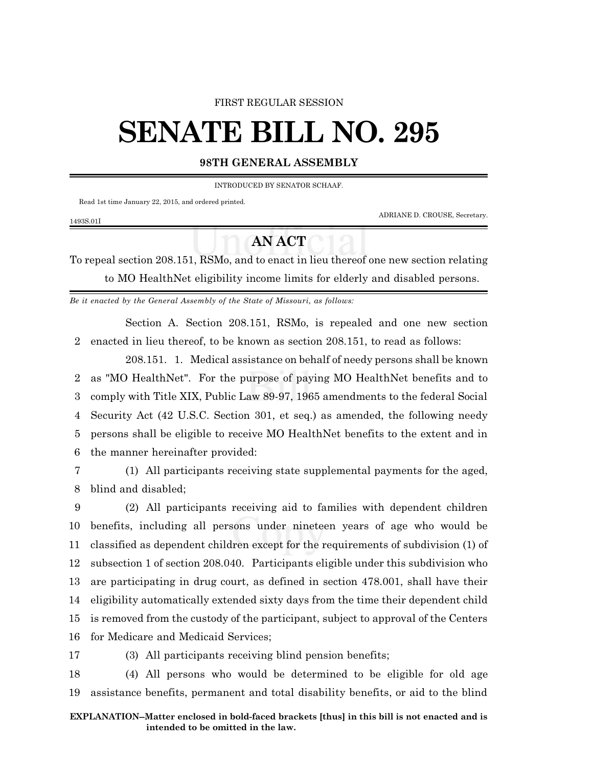#### FIRST REGULAR SESSION

# **SENATE BILL NO. 295**

## **98TH GENERAL ASSEMBLY**

INTRODUCED BY SENATOR SCHAAF.

Read 1st time January 22, 2015, and ordered printed.

ADRIANE D. CROUSE, Secretary.

### 1493S.01I

# **AN ACT**

To repeal section 208.151, RSMo, and to enact in lieu thereof one new section relating to MO HealthNet eligibility income limits for elderly and disabled persons.

*Be it enacted by the General Assembly of the State of Missouri, as follows:*

Section A. Section 208.151, RSMo, is repealed and one new section 2 enacted in lieu thereof, to be known as section 208.151, to read as follows:

208.151. 1. Medical assistance on behalf of needy persons shall be known as "MO HealthNet". For the purpose of paying MO HealthNet benefits and to comply with Title XIX, Public Law 89-97, 1965 amendments to the federal Social Security Act (42 U.S.C. Section 301, et seq.) as amended, the following needy persons shall be eligible to receive MO HealthNet benefits to the extent and in the manner hereinafter provided:

7 (1) All participants receiving state supplemental payments for the aged, 8 blind and disabled;

 (2) All participants receiving aid to families with dependent children benefits, including all persons under nineteen years of age who would be classified as dependent children except for the requirements of subdivision (1) of subsection 1 of section 208.040. Participants eligible under this subdivision who are participating in drug court, as defined in section 478.001, shall have their eligibility automatically extended sixty days from the time their dependent child is removed from the custody of the participant, subject to approval of the Centers for Medicare and Medicaid Services;

17 (3) All participants receiving blind pension benefits;

18 (4) All persons who would be determined to be eligible for old age 19 assistance benefits, permanent and total disability benefits, or aid to the blind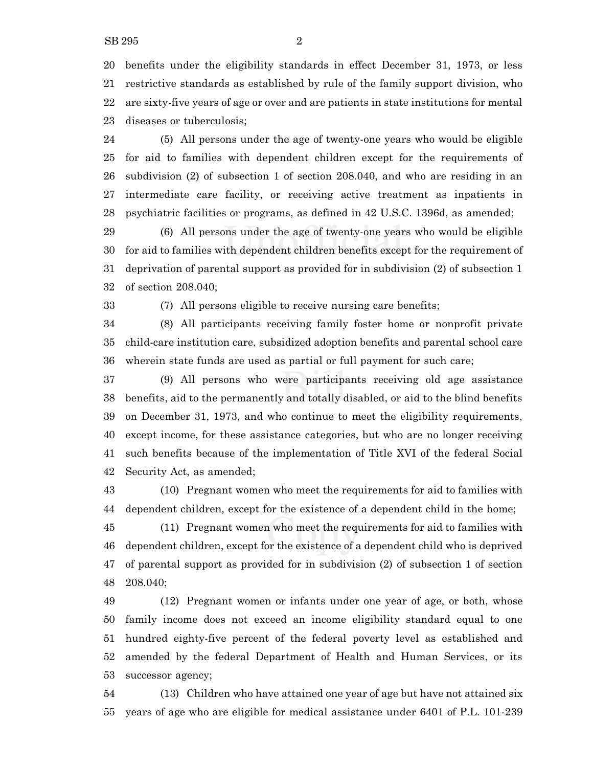benefits under the eligibility standards in effect December 31, 1973, or less restrictive standards as established by rule of the family support division, who are sixty-five years of age or over and are patients in state institutions for mental diseases or tuberculosis;

 (5) All persons under the age of twenty-one years who would be eligible for aid to families with dependent children except for the requirements of subdivision (2) of subsection 1 of section 208.040, and who are residing in an intermediate care facility, or receiving active treatment as inpatients in psychiatric facilities or programs, as defined in 42 U.S.C. 1396d, as amended;

 (6) All persons under the age of twenty-one years who would be eligible for aid to families with dependent children benefits except for the requirement of deprivation of parental support as provided for in subdivision (2) of subsection 1 of section 208.040;

(7) All persons eligible to receive nursing care benefits;

 (8) All participants receiving family foster home or nonprofit private child-care institution care, subsidized adoption benefits and parental school care wherein state funds are used as partial or full payment for such care;

 (9) All persons who were participants receiving old age assistance benefits, aid to the permanently and totally disabled, or aid to the blind benefits on December 31, 1973, and who continue to meet the eligibility requirements, except income, for these assistance categories, but who are no longer receiving such benefits because of the implementation of Title XVI of the federal Social Security Act, as amended;

 (10) Pregnant women who meet the requirements for aid to families with dependent children, except for the existence of a dependent child in the home;

 (11) Pregnant women who meet the requirements for aid to families with dependent children, except for the existence of a dependent child who is deprived of parental support as provided for in subdivision (2) of subsection 1 of section 208.040;

 (12) Pregnant women or infants under one year of age, or both, whose family income does not exceed an income eligibility standard equal to one hundred eighty-five percent of the federal poverty level as established and amended by the federal Department of Health and Human Services, or its successor agency;

 (13) Children who have attained one year of age but have not attained six years of age who are eligible for medical assistance under 6401 of P.L. 101-239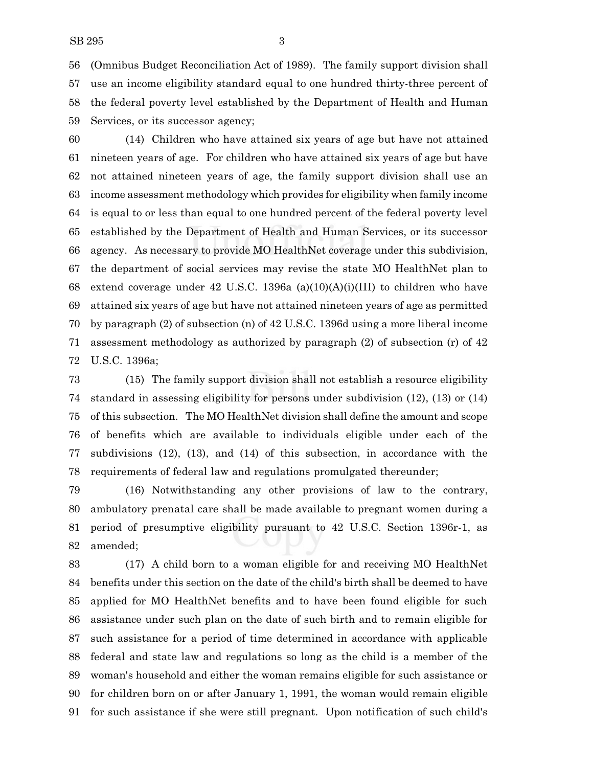(Omnibus Budget Reconciliation Act of 1989). The family support division shall use an income eligibility standard equal to one hundred thirty-three percent of the federal poverty level established by the Department of Health and Human Services, or its successor agency;

 (14) Children who have attained six years of age but have not attained nineteen years of age. For children who have attained six years of age but have not attained nineteen years of age, the family support division shall use an income assessment methodology which provides for eligibility when family income is equal to or less than equal to one hundred percent of the federal poverty level established by the Department of Health and Human Services, or its successor agency. As necessary to provide MO HealthNet coverage under this subdivision, the department of social services may revise the state MO HealthNet plan to extend coverage under 42 U.S.C. 1396a (a)(10)(A)(i)(III) to children who have attained six years of age but have not attained nineteen years of age as permitted by paragraph (2) of subsection (n) of 42 U.S.C. 1396d using a more liberal income assessment methodology as authorized by paragraph (2) of subsection (r) of 42 U.S.C. 1396a;

 (15) The family support division shall not establish a resource eligibility standard in assessing eligibility for persons under subdivision (12), (13) or (14) of this subsection. The MO HealthNet division shall define the amount and scope of benefits which are available to individuals eligible under each of the subdivisions (12), (13), and (14) of this subsection, in accordance with the requirements of federal law and regulations promulgated thereunder;

 (16) Notwithstanding any other provisions of law to the contrary, ambulatory prenatal care shall be made available to pregnant women during a period of presumptive eligibility pursuant to 42 U.S.C. Section 1396r-1, as amended;

 (17) A child born to a woman eligible for and receiving MO HealthNet benefits under this section on the date of the child's birth shall be deemed to have applied for MO HealthNet benefits and to have been found eligible for such assistance under such plan on the date of such birth and to remain eligible for such assistance for a period of time determined in accordance with applicable federal and state law and regulations so long as the child is a member of the woman's household and either the woman remains eligible for such assistance or for children born on or after January 1, 1991, the woman would remain eligible for such assistance if she were still pregnant. Upon notification of such child's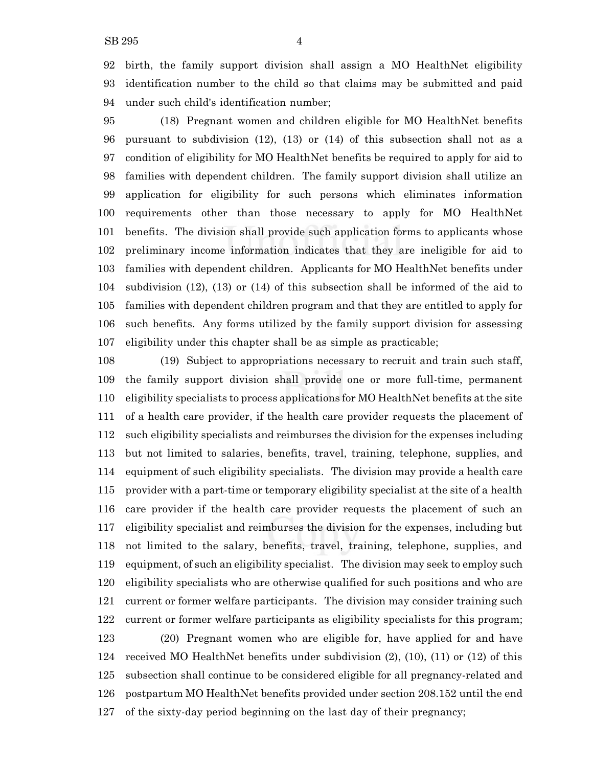birth, the family support division shall assign a MO HealthNet eligibility identification number to the child so that claims may be submitted and paid under such child's identification number;

 (18) Pregnant women and children eligible for MO HealthNet benefits pursuant to subdivision (12), (13) or (14) of this subsection shall not as a condition of eligibility for MO HealthNet benefits be required to apply for aid to families with dependent children. The family support division shall utilize an application for eligibility for such persons which eliminates information requirements other than those necessary to apply for MO HealthNet benefits. The division shall provide such application forms to applicants whose preliminary income information indicates that they are ineligible for aid to families with dependent children. Applicants for MO HealthNet benefits under subdivision (12), (13) or (14) of this subsection shall be informed of the aid to families with dependent children program and that they are entitled to apply for such benefits. Any forms utilized by the family support division for assessing eligibility under this chapter shall be as simple as practicable;

 (19) Subject to appropriations necessary to recruit and train such staff, the family support division shall provide one or more full-time, permanent eligibility specialists to process applications for MO HealthNet benefits at the site of a health care provider, if the health care provider requests the placement of such eligibility specialists and reimburses the division for the expenses including but not limited to salaries, benefits, travel, training, telephone, supplies, and equipment of such eligibility specialists. The division may provide a health care provider with a part-time or temporary eligibility specialist at the site of a health care provider if the health care provider requests the placement of such an eligibility specialist and reimburses the division for the expenses, including but not limited to the salary, benefits, travel, training, telephone, supplies, and equipment, of such an eligibility specialist. The division may seek to employ such eligibility specialists who are otherwise qualified for such positions and who are current or former welfare participants. The division may consider training such current or former welfare participants as eligibility specialists for this program; (20) Pregnant women who are eligible for, have applied for and have received MO HealthNet benefits under subdivision (2), (10), (11) or (12) of this subsection shall continue to be considered eligible for all pregnancy-related and postpartum MO HealthNet benefits provided under section 208.152 until the end of the sixty-day period beginning on the last day of their pregnancy;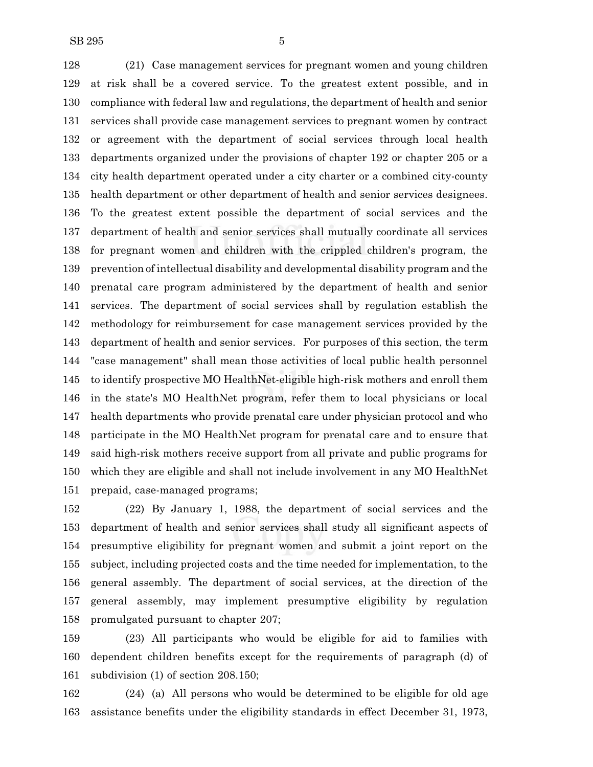(21) Case management services for pregnant women and young children at risk shall be a covered service. To the greatest extent possible, and in compliance with federal law and regulations, the department of health and senior services shall provide case management services to pregnant women by contract or agreement with the department of social services through local health departments organized under the provisions of chapter 192 or chapter 205 or a city health department operated under a city charter or a combined city-county health department or other department of health and senior services designees. To the greatest extent possible the department of social services and the department of health and senior services shall mutually coordinate all services for pregnant women and children with the crippled children's program, the prevention of intellectual disability and developmental disability program and the prenatal care program administered by the department of health and senior services. The department of social services shall by regulation establish the methodology for reimbursement for case management services provided by the department of health and senior services. For purposes of this section, the term "case management" shall mean those activities of local public health personnel to identify prospective MO HealthNet-eligible high-risk mothers and enroll them in the state's MO HealthNet program, refer them to local physicians or local health departments who provide prenatal care under physician protocol and who participate in the MO HealthNet program for prenatal care and to ensure that said high-risk mothers receive support from all private and public programs for which they are eligible and shall not include involvement in any MO HealthNet prepaid, case-managed programs;

 (22) By January 1, 1988, the department of social services and the department of health and senior services shall study all significant aspects of presumptive eligibility for pregnant women and submit a joint report on the subject, including projected costs and the time needed for implementation, to the general assembly. The department of social services, at the direction of the general assembly, may implement presumptive eligibility by regulation promulgated pursuant to chapter 207;

 (23) All participants who would be eligible for aid to families with dependent children benefits except for the requirements of paragraph (d) of subdivision (1) of section 208.150;

 (24) (a) All persons who would be determined to be eligible for old age assistance benefits under the eligibility standards in effect December 31, 1973,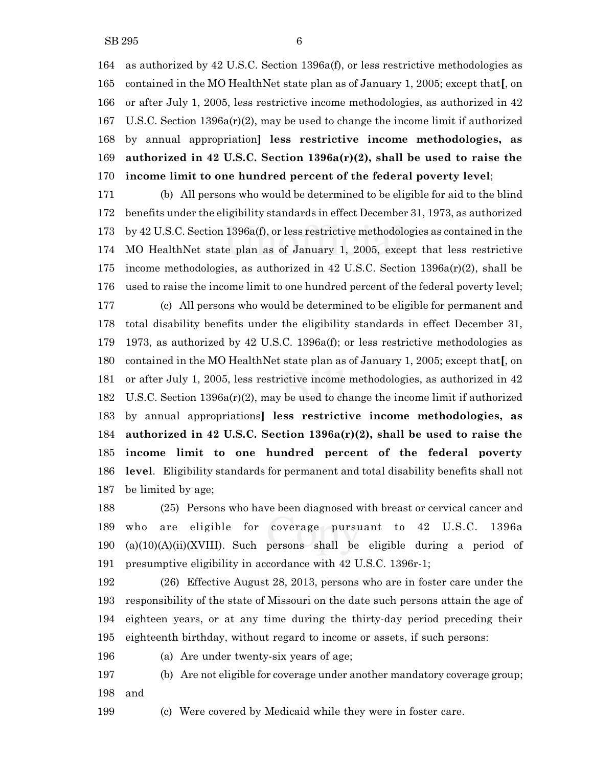as authorized by 42 U.S.C. Section 1396a(f), or less restrictive methodologies as contained in the MO HealthNet state plan as of January 1, 2005; except that**[**, on or after July 1, 2005, less restrictive income methodologies, as authorized in 42 U.S.C. Section 1396a(r)(2), may be used to change the income limit if authorized by annual appropriation**] less restrictive income methodologies, as authorized in 42 U.S.C. Section 1396a(r)(2), shall be used to raise the income limit to one hundred percent of the federal poverty level**;

 (b) All persons who would be determined to be eligible for aid to the blind benefits under the eligibility standards in effect December 31, 1973, as authorized by 42 U.S.C. Section 1396a(f), or less restrictive methodologies as contained in the MO HealthNet state plan as of January 1, 2005, except that less restrictive income methodologies, as authorized in 42 U.S.C. Section 1396a(r)(2), shall be used to raise the income limit to one hundred percent of the federal poverty level; (c) All persons who would be determined to be eligible for permanent and total disability benefits under the eligibility standards in effect December 31, 1973, as authorized by 42 U.S.C. 1396a(f); or less restrictive methodologies as contained in the MO HealthNet state plan as of January 1, 2005; except that**[**, on or after July 1, 2005, less restrictive income methodologies, as authorized in 42 U.S.C. Section 1396a(r)(2), may be used to change the income limit if authorized by annual appropriations**] less restrictive income methodologies, as authorized in 42 U.S.C. Section 1396a(r)(2), shall be used to raise the income limit to one hundred percent of the federal poverty level**. Eligibility standards for permanent and total disability benefits shall not be limited by age;

 (25) Persons who have been diagnosed with breast or cervical cancer and who are eligible for coverage pursuant to 42 U.S.C. 1396a 190 (a)(10)(A)(ii)(XVIII). Such persons shall be eligible during a period of presumptive eligibility in accordance with 42 U.S.C. 1396r-1;

 (26) Effective August 28, 2013, persons who are in foster care under the responsibility of the state of Missouri on the date such persons attain the age of eighteen years, or at any time during the thirty-day period preceding their eighteenth birthday, without regard to income or assets, if such persons:

(a) Are under twenty-six years of age;

 (b) Are not eligible for coverage under another mandatory coverage group; and

(c) Were covered by Medicaid while they were in foster care.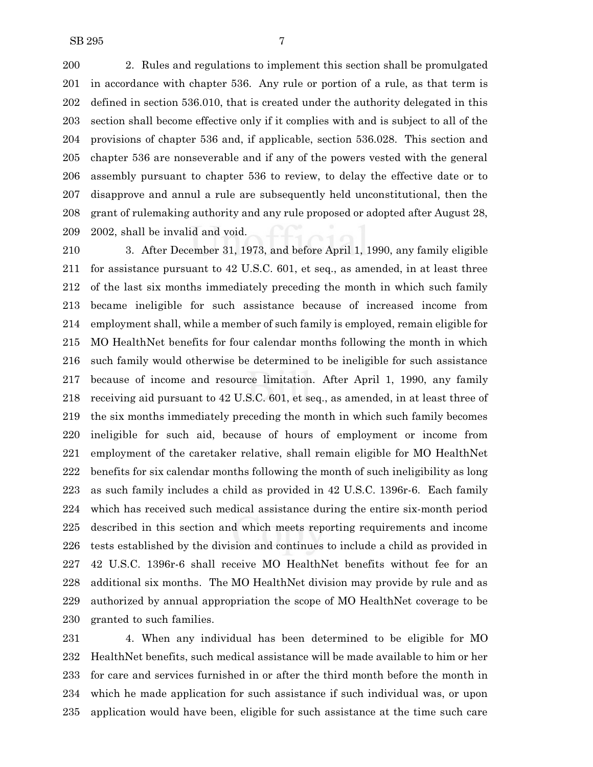2. Rules and regulations to implement this section shall be promulgated in accordance with chapter 536. Any rule or portion of a rule, as that term is defined in section 536.010, that is created under the authority delegated in this section shall become effective only if it complies with and is subject to all of the provisions of chapter 536 and, if applicable, section 536.028. This section and chapter 536 are nonseverable and if any of the powers vested with the general assembly pursuant to chapter 536 to review, to delay the effective date or to disapprove and annul a rule are subsequently held unconstitutional, then the grant of rulemaking authority and any rule proposed or adopted after August 28, 2002, shall be invalid and void.

 3. After December 31, 1973, and before April 1, 1990, any family eligible for assistance pursuant to 42 U.S.C. 601, et seq., as amended, in at least three of the last six months immediately preceding the month in which such family became ineligible for such assistance because of increased income from employment shall, while a member of such family is employed, remain eligible for MO HealthNet benefits for four calendar months following the month in which such family would otherwise be determined to be ineligible for such assistance because of income and resource limitation. After April 1, 1990, any family receiving aid pursuant to 42 U.S.C. 601, et seq., as amended, in at least three of the six months immediately preceding the month in which such family becomes ineligible for such aid, because of hours of employment or income from employment of the caretaker relative, shall remain eligible for MO HealthNet benefits for six calendar months following the month of such ineligibility as long as such family includes a child as provided in 42 U.S.C. 1396r-6. Each family which has received such medical assistance during the entire six-month period described in this section and which meets reporting requirements and income tests established by the division and continues to include a child as provided in 42 U.S.C. 1396r-6 shall receive MO HealthNet benefits without fee for an additional six months. The MO HealthNet division may provide by rule and as authorized by annual appropriation the scope of MO HealthNet coverage to be granted to such families.

 4. When any individual has been determined to be eligible for MO HealthNet benefits, such medical assistance will be made available to him or her for care and services furnished in or after the third month before the month in which he made application for such assistance if such individual was, or upon application would have been, eligible for such assistance at the time such care